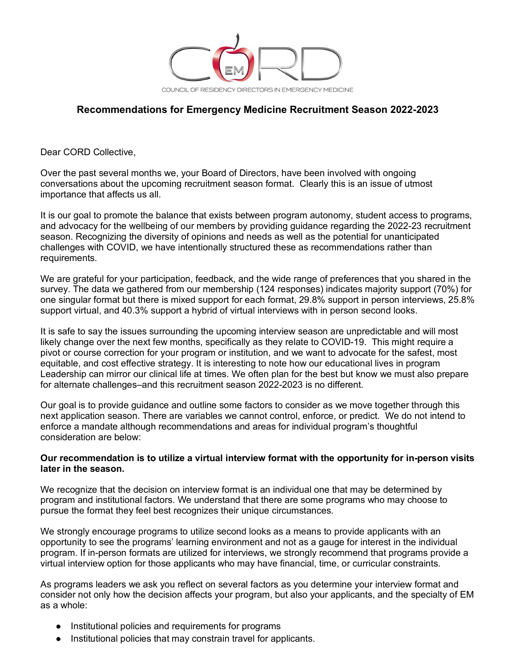

## **Recommendations for Emergency Medicine Recruitment Season 2022-2023**

Dear CORD Collective,

Over the past several months we, your Board of Directors, have been involved with ongoing conversations about the upcoming recruitment season format. Clearly this is an issue of utmost importance that affects us all.

It is our goal to promote the balance that exists between program autonomy, student access to programs, and advocacy for the wellbeing of our members by providing guidance regarding the 2022-23 recruitment season. Recognizing the diversity of opinions and needs as well as the potential for unanticipated challenges with COVID, we have intentionally structured these as recommendations rather than requirements.

We are grateful for your participation, feedback, and the wide range of preferences that you shared in the survey. The data we gathered from our membership (124 responses) indicates majority support (70%) for one singular format but there is mixed support for each format, 29.8% support in person interviews, 25.8% support virtual, and 40.3% support a hybrid of virtual interviews with in person second looks.

It is safe to say the issues surrounding the upcoming interview season are unpredictable and will most likely change over the next few months, specifically as they relate to COVID-19. This might require a pivot or course correction for your program or institution, and we want to advocate for the safest, most equitable, and cost effective strategy. It is interesting to note how our educational lives in program Leadership can mirror our clinical life at times. We often plan for the best but know we must also prepare for alternate challenges–and this recruitment season 2022-2023 is no different.

Our goal is to provide guidance and outline some factors to consider as we move together through this next application season. There are variables we cannot control, enforce, or predict. We do not intend to enforce a mandate although recommendations and areas for individual program's thoughtful consideration are below:

## **Our recommendation is to utilize a virtual interview format with the opportunity for in-person visits later in the season.**

We recognize that the decision on interview format is an individual one that may be determined by program and institutional factors. We understand that there are some programs who may choose to pursue the format they feel best recognizes their unique circumstances.

We strongly encourage programs to utilize second looks as a means to provide applicants with an opportunity to see the programs' learning environment and not as a gauge for interest in the individual program. If in-person formats are utilized for interviews, we strongly recommend that programs provide a virtual interview option for those applicants who may have financial, time, or curricular constraints.

As programs leaders we ask you reflect on several factors as you determine your interview format and consider not only how the decision affects your program, but also your applicants, and the specialty of EM as a whole:

- Institutional policies and requirements for programs
- Institutional policies that may constrain travel for applicants.